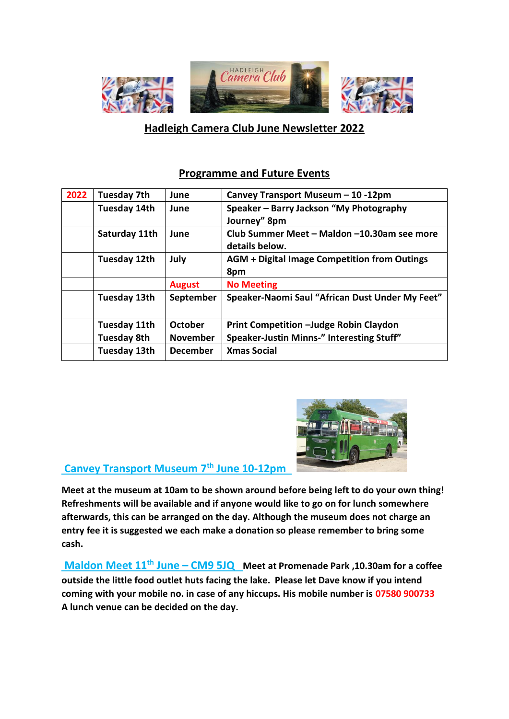

# **Hadleigh Camera Club June Newsletter 2022**

### **Programme and Future Events**

| 2022 | <b>Tuesday 7th</b>  | June            | Canvey Transport Museum - 10 -12pm                  |
|------|---------------------|-----------------|-----------------------------------------------------|
|      | Tuesday 14th        | June            | Speaker - Barry Jackson "My Photography             |
|      |                     |                 | Journey" 8pm                                        |
|      | Saturday 11th       | June            | Club Summer Meet - Maldon -10.30am see more         |
|      |                     |                 | details below.                                      |
|      | Tuesday 12th        | July            | <b>AGM + Digital Image Competition from Outings</b> |
|      |                     |                 | 8pm                                                 |
|      |                     | <b>August</b>   | <b>No Meeting</b>                                   |
|      | <b>Tuesday 13th</b> | September       | Speaker-Naomi Saul "African Dust Under My Feet"     |
|      |                     |                 |                                                     |
|      | <b>Tuesday 11th</b> | October         | <b>Print Competition -Judge Robin Claydon</b>       |
|      | <b>Tuesday 8th</b>  | <b>November</b> | Speaker-Justin Minns-" Interesting Stuff"           |
|      | Tuesday 13th        | <b>December</b> | <b>Xmas Social</b>                                  |



## **Canvey Transport Museum 7th June 10-12pm**

**Meet at the museum at 10am to be shown around before being left to do your own thing! Refreshments will be available and if anyone would like to go on for lunch somewhere afterwards, this can be arranged on the day. Although the museum does not charge an entry fee it is suggested we each make a donation so please remember to bring some cash.**

**Maldon Meet 11th June – CM9 5JQ Meet at Promenade Park ,10.30am for a coffee outside the little food outlet huts facing the lake. Please let Dave know if you intend coming with your mobile no. in case of any hiccups. His mobile number is 07580 900733 A lunch venue can be decided on the day.**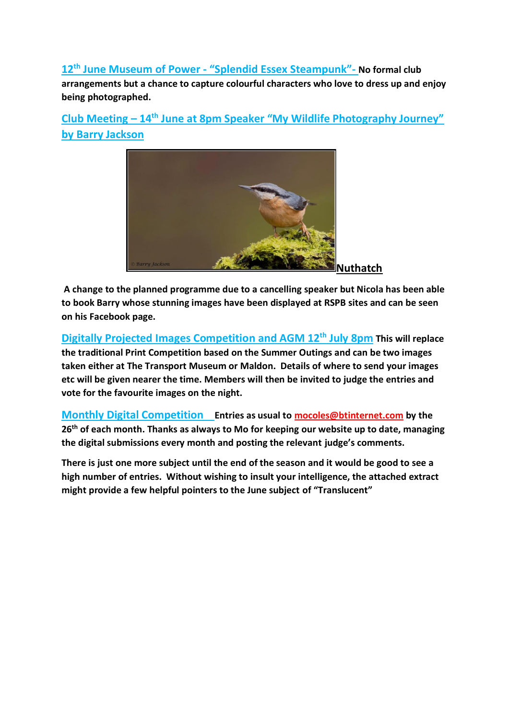**12th June Museum of Power - "Splendid Essex Steampunk"- No formal club arrangements but a chance to capture colourful characters who love to dress up and enjoy being photographed.**

**Club Meeting – 14th June at 8pm Speaker "My Wildlife Photography Journey" by Barry Jackson** 



**A change to the planned programme due to a cancelling speaker but Nicola has been able to book Barry whose stunning images have been displayed at RSPB sites and can be seen on his Facebook page.**

**Digitally Projected Images Competition and AGM 12th July 8pm This will replace the traditional Print Competition based on the Summer Outings and can be two images taken either at The Transport Museum or Maldon. Details of where to send your images etc will be given nearer the time. Members will then be invited to judge the entries and vote for the favourite images on the night.**

**Monthly Digital Competition Entries as usual to [mocoles@btinternet.com](mailto:mocoles@btinternet.com) by the 26th of each month. Thanks as always to Mo for keeping our website up to date, managing the digital submissions every month and posting the relevant judge's comments.**

**There is just one more subject until the end of the season and it would be good to see a high number of entries. Without wishing to insult your intelligence, the attached extract might provide a few helpful pointers to the June subject of "Translucent"**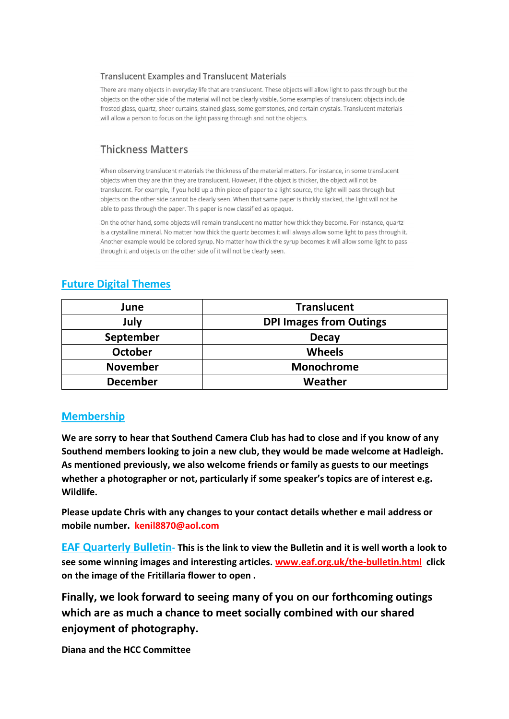#### **Translucent Examples and Translucent Materials**

There are many objects in everyday life that are translucent. These objects will allow light to pass through but the objects on the other side of the material will not be clearly visible. Some examples of translucent objects include frosted glass, quartz, sheer curtains, stained glass, some gemstones, and certain crystals. Translucent materials will allow a person to focus on the light passing through and not the objects.

## **Thickness Matters**

When observing translucent materials the thickness of the material matters. For instance, in some translucent objects when they are thin they are translucent. However, if the object is thicker, the object will not be translucent. For example, if you hold up a thin piece of paper to a light source, the light will pass through but objects on the other side cannot be clearly seen. When that same paper is thickly stacked, the light will not be able to pass through the paper. This paper is now classified as opaque.

On the other hand, some objects will remain translucent no matter how thick they become. For instance, quartz is a crystalline mineral. No matter how thick the quartz becomes it will always allow some light to pass through it. Another example would be colored syrup. No matter how thick the syrup becomes it will allow some light to pass through it and objects on the other side of it will not be clearly seen.

### **Future Digital Themes**

| June            | <b>Translucent</b>             |
|-----------------|--------------------------------|
| July            | <b>DPI Images from Outings</b> |
| September       | <b>Decay</b>                   |
| <b>October</b>  | <b>Wheels</b>                  |
| <b>November</b> | Monochrome                     |
| <b>December</b> | Weather                        |

### **Membership**

**We are sorry to hear that Southend Camera Club has had to close and if you know of any Southend members looking to join a new club, they would be made welcome at Hadleigh. As mentioned previously, we also welcome friends or family as guests to our meetings whether a photographer or not, particularly if some speaker's topics are of interest e.g. Wildlife.** 

**Please update Chris with any changes to your contact details whether e mail address or mobile number. [kenil8870@aol.com](mailto:Kenil8870@aol.com)**

**EAF Quarterly Bulletin- This is the link to view the Bulletin and it is well worth a look to see some winning images and interesting articles. [www.eaf.org.uk/the-bulletin.html](http://www.eaf.org.uk/the-bulletin.html) click on the image of the Fritillaria flower to open .**

**Finally, we look forward to seeing many of you on our forthcoming outings which are as much a chance to meet socially combined with our shared enjoyment of photography.** 

**Diana and the HCC Committee**